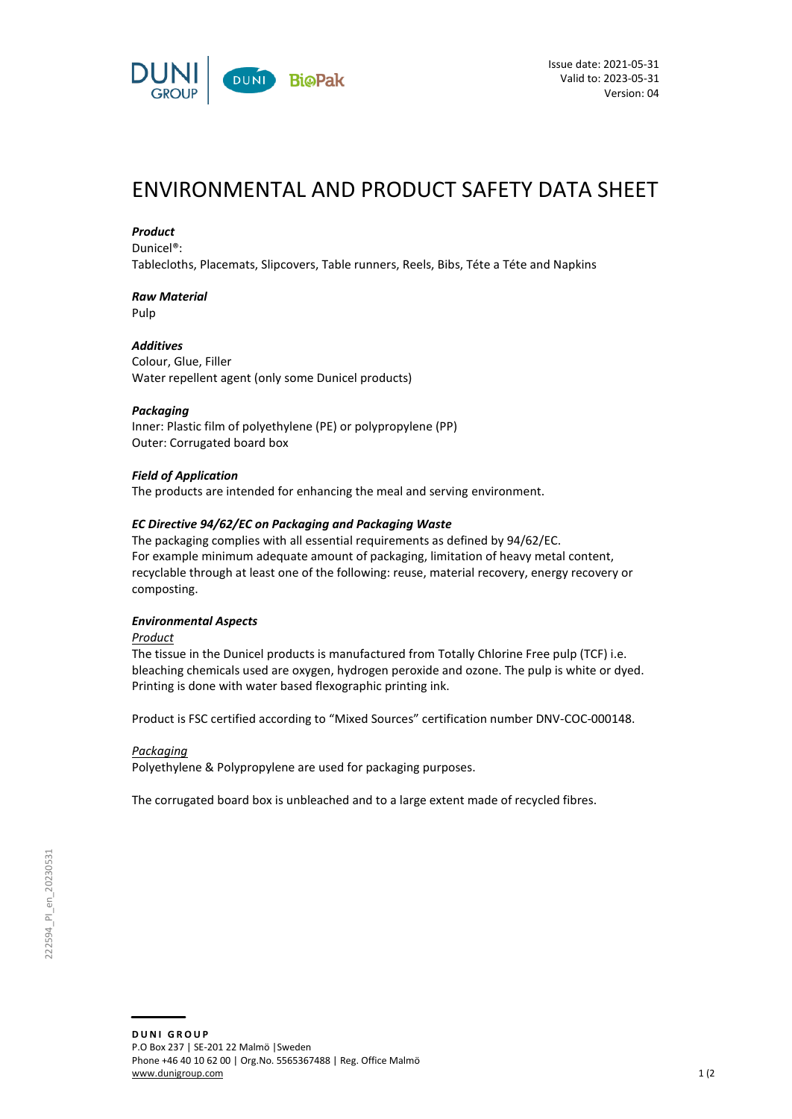

# ENVIRONMENTAL AND PRODUCT SAFETY DATA SHEET

### *Product*

Dunicel®:

Tablecloths, Placemats, Slipcovers, Table runners, Reels, Bibs, Téte a Téte and Napkins

# *Raw Material*

Pulp

### *Additives*

Colour, Glue, Filler Water repellent agent (only some Dunicel products)

### *Packaging*

Inner: Plastic film of polyethylene (PE) or polypropylene (PP) Outer: Corrugated board box

### *Field of Application*

The products are intended for enhancing the meal and serving environment.

### *EC Directive 94/62/EC on Packaging and Packaging Waste*

The packaging complies with all essential requirements as defined by 94/62/EC. For example minimum adequate amount of packaging, limitation of heavy metal content, recyclable through at least one of the following: reuse, material recovery, energy recovery or composting.

### *Environmental Aspects*

*Product*

The tissue in the Dunicel products is manufactured from Totally Chlorine Free pulp (TCF) i.e. bleaching chemicals used are oxygen, hydrogen peroxide and ozone. The pulp is white or dyed. Printing is done with water based flexographic printing ink.

Product is FSC certified according to "Mixed Sources" certification number DNV-COC-000148.

### *Packaging*

Polyethylene & Polypropylene are used for packaging purposes.

The corrugated board box is unbleached and to a large extent made of recycled fibres.